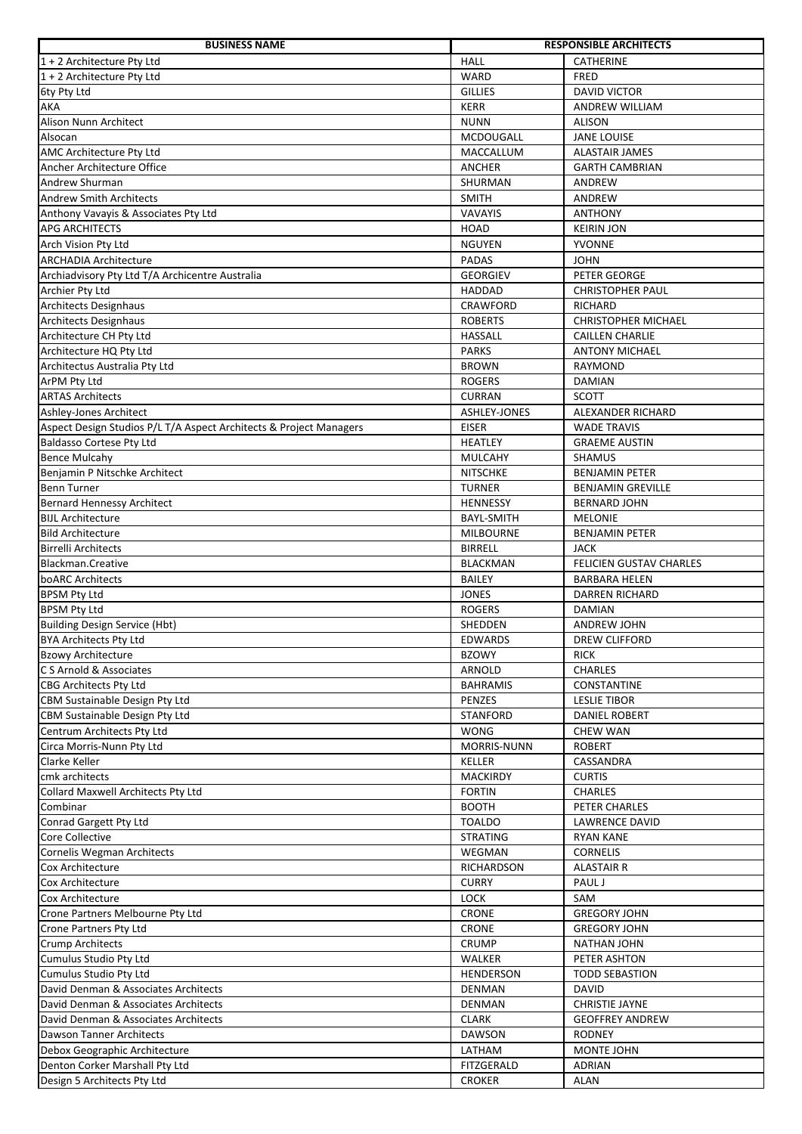| <b>BUSINESS NAME</b>                                               |                               | <b>RESPONSIBLE ARCHITECTS</b>      |
|--------------------------------------------------------------------|-------------------------------|------------------------------------|
| $1 + 2$ Architecture Pty Ltd                                       | <b>HALL</b>                   | <b>CATHERINE</b>                   |
| $1 + 2$ Architecture Pty Ltd                                       | <b>WARD</b>                   | <b>FRED</b>                        |
| 6ty Pty Ltd                                                        | <b>GILLIES</b>                | <b>DAVID VICTOR</b>                |
| AKA                                                                | <b>KERR</b>                   | ANDREW WILLIAM                     |
| Alison Nunn Architect                                              | <b>NUNN</b>                   | <b>ALISON</b>                      |
| Alsocan                                                            | MCDOUGALL                     | <b>JANE LOUISE</b>                 |
| AMC Architecture Pty Ltd                                           | MACCALLUM                     | <b>ALASTAIR JAMES</b>              |
| Ancher Architecture Office                                         | <b>ANCHER</b>                 | <b>GARTH CAMBRIAN</b>              |
| Andrew Shurman                                                     | SHURMAN                       | ANDREW                             |
| <b>Andrew Smith Architects</b>                                     | <b>SMITH</b>                  | ANDREW                             |
| Anthony Vavayis & Associates Pty Ltd                               | VAVAYIS                       | <b>ANTHONY</b>                     |
| <b>APG ARCHITECTS</b>                                              | HOAD                          | <b>KEIRIN JON</b>                  |
| Arch Vision Pty Ltd                                                | <b>NGUYEN</b>                 | <b>YVONNE</b>                      |
| <b>ARCHADIA Architecture</b>                                       | <b>PADAS</b>                  | <b>JOHN</b>                        |
| Archiadvisory Pty Ltd T/A Archicentre Australia                    | <b>GEORGIEV</b>               | PETER GEORGE                       |
|                                                                    | <b>HADDAD</b>                 | <b>CHRISTOPHER PAUL</b>            |
| Archier Pty Ltd<br><b>Architects Designhaus</b>                    |                               |                                    |
|                                                                    | CRAWFORD                      | <b>RICHARD</b>                     |
| <b>Architects Designhaus</b>                                       | <b>ROBERTS</b>                | CHRISTOPHER MICHAEL                |
| Architecture CH Pty Ltd                                            | <b>HASSALL</b>                | <b>CAILLEN CHARLIE</b>             |
| Architecture HQ Pty Ltd                                            | <b>PARKS</b>                  | <b>ANTONY MICHAEL</b>              |
| Architectus Australia Pty Ltd                                      | <b>BROWN</b>                  | RAYMOND                            |
| ArPM Pty Ltd                                                       | <b>ROGERS</b>                 | DAMIAN                             |
| <b>ARTAS Architects</b>                                            | <b>CURRAN</b>                 | <b>SCOTT</b>                       |
| Ashley-Jones Architect                                             | ASHLEY-JONES                  | ALEXANDER RICHARD                  |
| Aspect Design Studios P/L T/A Aspect Architects & Project Managers | <b>EISER</b>                  | <b>WADE TRAVIS</b>                 |
| <b>Baldasso Cortese Pty Ltd</b>                                    | <b>HEATLEY</b>                | <b>GRAEME AUSTIN</b>               |
| <b>Bence Mulcahy</b>                                               | <b>MULCAHY</b>                | <b>SHAMUS</b>                      |
| Benjamin P Nitschke Architect                                      | <b>NITSCHKE</b>               | <b>BENJAMIN PETER</b>              |
| <b>Benn Turner</b>                                                 | <b>TURNER</b>                 | <b>BENJAMIN GREVILLE</b>           |
| <b>Bernard Hennessy Architect</b>                                  | <b>HENNESSY</b>               | <b>BERNARD JOHN</b>                |
| <b>BIJL Architecture</b>                                           | <b>BAYL-SMITH</b>             | <b>MELONIE</b>                     |
| <b>Bild Architecture</b>                                           | <b>MILBOURNE</b>              | <b>BENJAMIN PETER</b>              |
| <b>Birrelli Architects</b>                                         | <b>BIRRELL</b>                | <b>JACK</b>                        |
| Blackman.Creative                                                  | <b>BLACKMAN</b>               | <b>FELICIEN GUSTAV CHARLES</b>     |
| boARC Architects                                                   | <b>BAILEY</b>                 | <b>BARBARA HELEN</b>               |
| <b>BPSM Pty Ltd</b>                                                | <b>JONES</b>                  | <b>DARREN RICHARD</b>              |
| <b>BPSM Pty Ltd</b>                                                | <b>ROGERS</b>                 | <b>DAMIAN</b>                      |
| <b>Building Design Service (Hbt)</b>                               | <b>SHEDDEN</b>                | ANDREW JOHN                        |
| <b>BYA Architects Pty Ltd</b>                                      | <b>EDWARDS</b>                | <b>DREW CLIFFORD</b>               |
| <b>Bzowy Architecture</b>                                          | <b>BZOWY</b>                  | <b>RICK</b>                        |
| C S Arnold & Associates                                            | ARNOLD                        | <b>CHARLES</b>                     |
| CBG Architects Pty Ltd                                             | <b>BAHRAMIS</b>               | CONSTANTINE                        |
| CBM Sustainable Design Pty Ltd                                     | PENZES                        | <b>LESLIE TIBOR</b>                |
| CBM Sustainable Design Pty Ltd                                     | <b>STANFORD</b>               | <b>DANIEL ROBERT</b>               |
| Centrum Architects Pty Ltd                                         | <b>WONG</b>                   | <b>CHEW WAN</b>                    |
| Circa Morris-Nunn Pty Ltd                                          | <b>MORRIS-NUNN</b>            | <b>ROBERT</b>                      |
| Clarke Keller                                                      | KELLER                        | CASSANDRA                          |
| cmk architects                                                     | MACKIRDY                      | <b>CURTIS</b>                      |
| Collard Maxwell Architects Pty Ltd                                 | <b>FORTIN</b>                 | CHARLES                            |
| Combinar                                                           | <b>BOOTH</b>                  | PETER CHARLES                      |
| Conrad Gargett Pty Ltd                                             | <b>TOALDO</b>                 | <b>LAWRENCE DAVID</b>              |
| Core Collective                                                    | <b>STRATING</b>               | <b>RYAN KANE</b>                   |
| Cornelis Wegman Architects                                         | WEGMAN                        | <b>CORNELIS</b>                    |
| Cox Architecture                                                   | RICHARDSON                    | <b>ALASTAIR R</b>                  |
| Cox Architecture                                                   | <b>CURRY</b>                  | PAUL J                             |
| Cox Architecture                                                   | LOCK                          | SAM                                |
| Crone Partners Melbourne Pty Ltd                                   | CRONE                         | <b>GREGORY JOHN</b>                |
| Crone Partners Pty Ltd                                             | <b>CRONE</b>                  | <b>GREGORY JOHN</b>                |
|                                                                    |                               |                                    |
| <b>Crump Architects</b><br>Cumulus Studio Pty Ltd                  | <b>CRUMP</b><br><b>WALKER</b> | <b>NATHAN JOHN</b><br>PETER ASHTON |
|                                                                    |                               |                                    |
| Cumulus Studio Pty Ltd                                             | <b>HENDERSON</b>              | <b>TODD SEBASTION</b>              |
| David Denman & Associates Architects                               | <b>DENMAN</b>                 | <b>DAVID</b>                       |
| David Denman & Associates Architects                               | <b>DENMAN</b>                 | <b>CHRISTIE JAYNE</b>              |
| David Denman & Associates Architects                               | <b>CLARK</b>                  | <b>GEOFFREY ANDREW</b>             |
| Dawson Tanner Architects                                           | <b>DAWSON</b>                 | <b>RODNEY</b>                      |
| Debox Geographic Architecture                                      | LATHAM                        | MONTE JOHN                         |
| Denton Corker Marshall Pty Ltd                                     | FITZGERALD                    | <b>ADRIAN</b>                      |
| Design 5 Architects Pty Ltd                                        | <b>CROKER</b>                 | <b>ALAN</b>                        |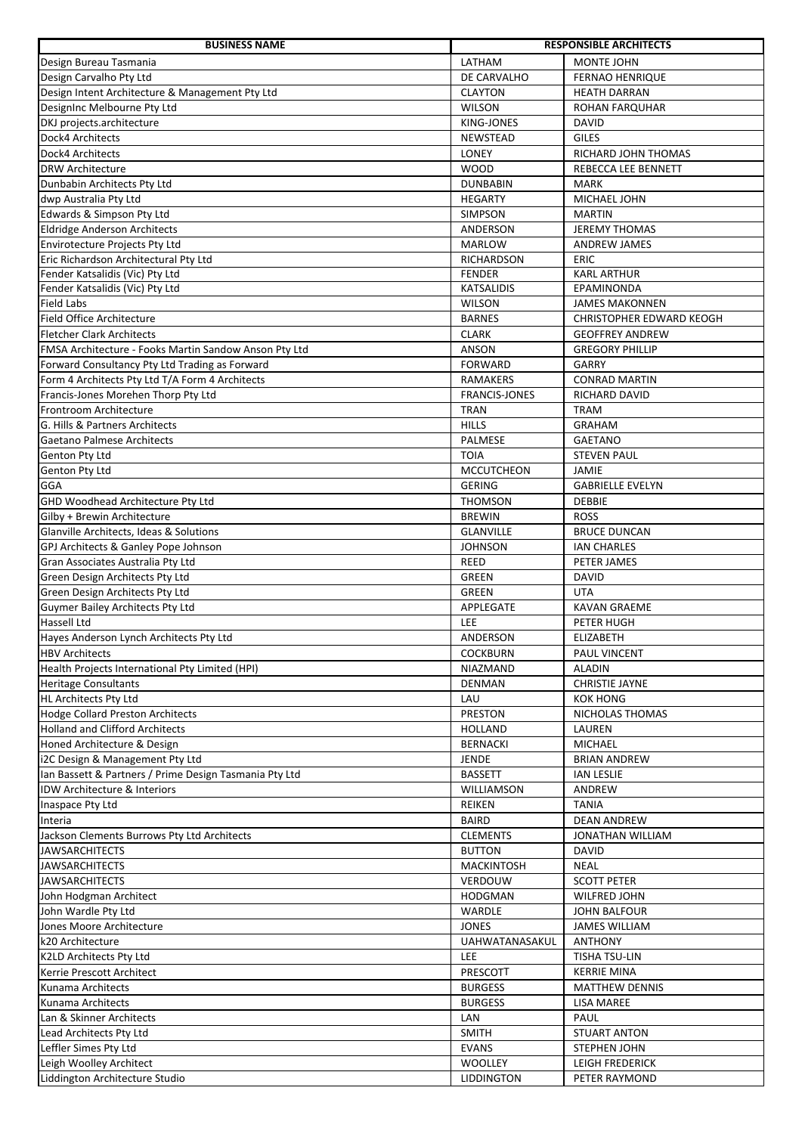| <b>BUSINESS NAME</b>                                   |                       | <b>RESPONSIBLE ARCHITECTS</b>   |
|--------------------------------------------------------|-----------------------|---------------------------------|
| Design Bureau Tasmania                                 | LATHAM                | <b>MONTE JOHN</b>               |
| Design Carvalho Pty Ltd                                | DE CARVALHO           | <b>FERNAO HENRIQUE</b>          |
| Design Intent Architecture & Management Pty Ltd        | <b>CLAYTON</b>        | <b>HEATH DARRAN</b>             |
| DesignInc Melbourne Pty Ltd                            | <b>WILSON</b>         | ROHAN FARQUHAR                  |
| DKJ projects.architecture                              | <b>KING-JONES</b>     | <b>DAVID</b>                    |
| Dock4 Architects                                       | NEWSTEAD              | <b>GILES</b>                    |
| Dock4 Architects                                       | <b>LONEY</b>          | RICHARD JOHN THOMAS             |
| <b>DRW Architecture</b>                                | <b>WOOD</b>           | REBECCA LEE BENNETT             |
| Dunbabin Architects Pty Ltd                            | <b>DUNBABIN</b>       | <b>MARK</b>                     |
| dwp Australia Pty Ltd                                  | <b>HEGARTY</b>        | MICHAEL JOHN                    |
| Edwards & Simpson Pty Ltd                              | SIMPSON               | <b>MARTIN</b>                   |
| <b>Eldridge Anderson Architects</b>                    | ANDERSON              | <b>JEREMY THOMAS</b>            |
| <b>Envirotecture Projects Pty Ltd</b>                  | <b>MARLOW</b>         | <b>ANDREW JAMES</b>             |
| Eric Richardson Architectural Pty Ltd                  | RICHARDSON            | <b>ERIC</b>                     |
| Fender Katsalidis (Vic) Pty Ltd                        | <b>FENDER</b>         | <b>KARL ARTHUR</b>              |
| Fender Katsalidis (Vic) Pty Ltd                        | <b>KATSALIDIS</b>     | EPAMINONDA                      |
| <b>Field Labs</b>                                      | <b>WILSON</b>         | <b>JAMES MAKONNEN</b>           |
| <b>Field Office Architecture</b>                       | <b>BARNES</b>         | <b>CHRISTOPHER EDWARD KEOGH</b> |
| <b>Fletcher Clark Architects</b>                       | <b>CLARK</b>          | <b>GEOFFREY ANDREW</b>          |
| FMSA Architecture - Fooks Martin Sandow Anson Pty Ltd  | ANSON                 | <b>GREGORY PHILLIP</b>          |
| Forward Consultancy Pty Ltd Trading as Forward         | <b>FORWARD</b>        | <b>GARRY</b>                    |
| Form 4 Architects Pty Ltd T/A Form 4 Architects        | <b>RAMAKERS</b>       | <b>CONRAD MARTIN</b>            |
| Francis-Jones Morehen Thorp Pty Ltd                    | <b>FRANCIS-JONES</b>  | <b>RICHARD DAVID</b>            |
| Frontroom Architecture                                 | <b>TRAN</b>           | <b>TRAM</b>                     |
| G. Hills & Partners Architects                         | <b>HILLS</b>          | <b>GRAHAM</b>                   |
| Gaetano Palmese Architects                             | PALMESE               | <b>GAETANO</b>                  |
| Genton Pty Ltd                                         | <b>TOIA</b>           | <b>STEVEN PAUL</b>              |
| Genton Pty Ltd                                         | <b>MCCUTCHEON</b>     | JAMIE                           |
| GGA                                                    | <b>GERING</b>         | <b>GABRIELLE EVELYN</b>         |
| GHD Woodhead Architecture Pty Ltd                      | <b>THOMSON</b>        | <b>DEBBIE</b>                   |
| Gilby + Brewin Architecture                            | <b>BREWIN</b>         | <b>ROSS</b>                     |
| Glanville Architects, Ideas & Solutions                | <b>GLANVILLE</b>      | <b>BRUCE DUNCAN</b>             |
| GPJ Architects & Ganley Pope Johnson                   | <b>JOHNSON</b>        | <b>IAN CHARLES</b>              |
| Gran Associates Australia Pty Ltd                      | <b>REED</b>           | PETER JAMES                     |
| Green Design Architects Pty Ltd                        | <b>GREEN</b>          | DAVID                           |
| Green Design Architects Pty Ltd                        | <b>GREEN</b>          | <b>UTA</b>                      |
| Guymer Bailey Architects Pty Ltd                       | APPLEGATE             | <b>KAVAN GRAEME</b>             |
| Hassell Ltd                                            | LEE                   | PETER HUGH                      |
| Hayes Anderson Lynch Architects Pty Ltd                | ANDERSON              | ELIZABETH                       |
| <b>HBV Architects</b>                                  | <b>COCKBURN</b>       | PAUL VINCENT                    |
| Health Projects International Pty Limited (HPI)        | NIAZMAND              | <b>ALADIN</b>                   |
| <b>Heritage Consultants</b>                            | <b>DENMAN</b>         | <b>CHRISTIE JAYNE</b>           |
| <b>HL Architects Pty Ltd</b>                           | LAU                   | <b>KOK HONG</b>                 |
| <b>Hodge Collard Preston Architects</b>                | <b>PRESTON</b>        | NICHOLAS THOMAS                 |
| <b>Holland and Clifford Architects</b>                 | HOLLAND               | LAUREN                          |
| Honed Architecture & Design                            | <b>BERNACKI</b>       | <b>MICHAEL</b>                  |
| i2C Design & Management Pty Ltd                        | JENDE                 | <b>BRIAN ANDREW</b>             |
| Ian Bassett & Partners / Prime Design Tasmania Pty Ltd | <b>BASSETT</b>        | <b>IAN LESLIE</b>               |
| IDW Architecture & Interiors                           | WILLIAMSON            | ANDREW                          |
| Inaspace Pty Ltd                                       | <b>REIKEN</b>         | <b>TANIA</b>                    |
| Interia                                                | <b>BAIRD</b>          | <b>DEAN ANDREW</b>              |
| Jackson Clements Burrows Pty Ltd Architects            | <b>CLEMENTS</b>       | JONATHAN WILLIAM                |
| <b>JAWSARCHITECTS</b>                                  | <b>BUTTON</b>         | DAVID                           |
| <b>JAWSARCHITECTS</b>                                  | <b>MACKINTOSH</b>     | <b>NEAL</b>                     |
| <b>JAWSARCHITECTS</b>                                  | VERDOUW               | <b>SCOTT PETER</b>              |
| John Hodgman Architect                                 | <b>HODGMAN</b>        | WILFRED JOHN                    |
| John Wardle Pty Ltd                                    | WARDLE                | <b>JOHN BALFOUR</b>             |
| Jones Moore Architecture                               | <b>JONES</b>          | <b>JAMES WILLIAM</b>            |
| k20 Architecture                                       | <b>UAHWATANASAKUL</b> | <b>ANTHONY</b>                  |
| K2LD Architects Pty Ltd                                | LEE                   | TISHA TSU-LIN                   |
| Kerrie Prescott Architect                              | PRESCOTT              | <b>KERRIE MINA</b>              |
| Kunama Architects                                      | <b>BURGESS</b>        | <b>MATTHEW DENNIS</b>           |
| Kunama Architects                                      | <b>BURGESS</b>        | LISA MAREE                      |
| Lan & Skinner Architects                               | LAN                   | PAUL                            |
| Lead Architects Pty Ltd                                | <b>SMITH</b>          | <b>STUART ANTON</b>             |
| Leffler Simes Pty Ltd                                  | <b>EVANS</b>          | <b>STEPHEN JOHN</b>             |
| Leigh Woolley Architect                                | <b>WOOLLEY</b>        | <b>LEIGH FREDERICK</b>          |
| Liddington Architecture Studio                         | LIDDINGTON            | PETER RAYMOND                   |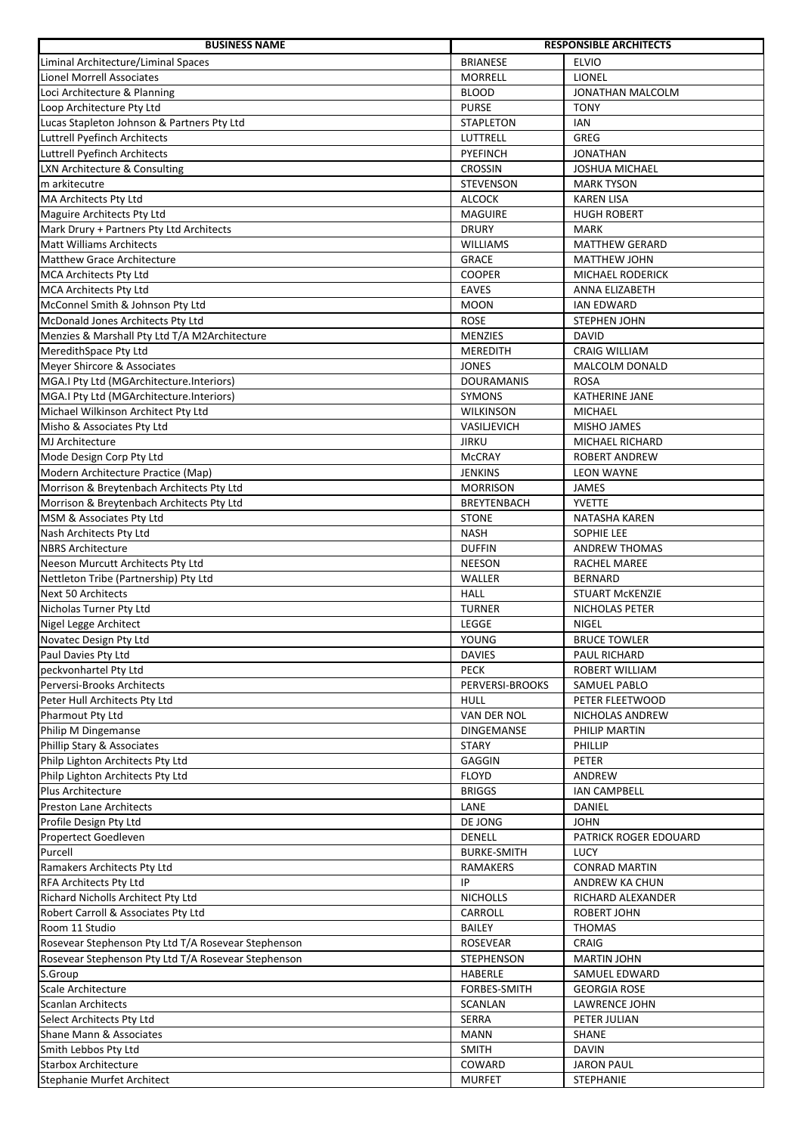| <b>BUSINESS NAME</b>                                |                    | <b>RESPONSIBLE ARCHITECTS</b>           |
|-----------------------------------------------------|--------------------|-----------------------------------------|
| Liminal Architecture/Liminal Spaces                 | <b>BRIANESE</b>    | <b>ELVIO</b>                            |
| <b>Lionel Morrell Associates</b>                    | <b>MORRELL</b>     | <b>LIONEL</b>                           |
| Loci Architecture & Planning                        | <b>BLOOD</b>       | JONATHAN MALCOLM                        |
| Loop Architecture Pty Ltd                           | <b>PURSE</b>       | <b>TONY</b>                             |
| Lucas Stapleton Johnson & Partners Pty Ltd          | <b>STAPLETON</b>   | <b>IAN</b>                              |
| <b>Luttrell Pyefinch Architects</b>                 | LUTTRELL           | GREG                                    |
| Luttrell Pyefinch Architects                        | PYEFINCH           | <b>JONATHAN</b>                         |
| LXN Architecture & Consulting                       | <b>CROSSIN</b>     | <b>JOSHUA MICHAEL</b>                   |
| m arkitecutre                                       | <b>STEVENSON</b>   | <b>MARK TYSON</b>                       |
| MA Architects Pty Ltd                               | <b>ALCOCK</b>      | <b>KAREN LISA</b>                       |
| Maguire Architects Pty Ltd                          | <b>MAGUIRE</b>     | <b>HUGH ROBERT</b>                      |
| Mark Drury + Partners Pty Ltd Architects            | <b>DRURY</b>       | <b>MARK</b>                             |
| <b>Matt Williams Architects</b>                     | <b>WILLIAMS</b>    | <b>MATTHEW GERARD</b>                   |
| <b>Matthew Grace Architecture</b>                   | <b>GRACE</b>       |                                         |
| <b>MCA Architects Pty Ltd</b>                       | <b>COOPER</b>      | <b>MATTHEW JOHN</b><br>MICHAEL RODERICK |
|                                                     | <b>EAVES</b>       |                                         |
| <b>MCA Architects Pty Ltd</b>                       |                    | ANNA ELIZABETH                          |
| McConnel Smith & Johnson Pty Ltd                    | <b>MOON</b>        | <b>IAN EDWARD</b>                       |
| McDonald Jones Architects Pty Ltd                   | <b>ROSE</b>        | <b>STEPHEN JOHN</b>                     |
| Menzies & Marshall Pty Ltd T/A M2Architecture       | <b>MENZIES</b>     | <b>DAVID</b>                            |
| MeredithSpace Pty Ltd                               | <b>MEREDITH</b>    | <b>CRAIG WILLIAM</b>                    |
| Meyer Shircore & Associates                         | <b>JONES</b>       | <b>MALCOLM DONALD</b>                   |
| MGA.I Pty Ltd (MGArchitecture.Interiors)            | <b>DOURAMANIS</b>  | <b>ROSA</b>                             |
| MGA.I Pty Ltd (MGArchitecture.Interiors)            | SYMONS             | <b>KATHERINE JANE</b>                   |
| Michael Wilkinson Architect Pty Ltd                 | <b>WILKINSON</b>   | <b>MICHAEL</b>                          |
| Misho & Associates Pty Ltd                          | VASILJEVICH        | <b>MISHO JAMES</b>                      |
| MJ Architecture                                     | <b>JIRKU</b>       | MICHAEL RICHARD                         |
| Mode Design Corp Pty Ltd                            | <b>McCRAY</b>      | <b>ROBERT ANDREW</b>                    |
| Modern Architecture Practice (Map)                  | <b>JENKINS</b>     | <b>LEON WAYNE</b>                       |
| Morrison & Breytenbach Architects Pty Ltd           | <b>MORRISON</b>    | <b>JAMES</b>                            |
| Morrison & Breytenbach Architects Pty Ltd           | <b>BREYTENBACH</b> | <b>YVETTE</b>                           |
| MSM & Associates Pty Ltd                            | <b>STONE</b>       | NATASHA KAREN                           |
| Nash Architects Pty Ltd                             | <b>NASH</b>        | SOPHIE LEE                              |
| <b>NBRS Architecture</b>                            | <b>DUFFIN</b>      | <b>ANDREW THOMAS</b>                    |
| <b>Neeson Murcutt Architects Pty Ltd</b>            | <b>NEESON</b>      | RACHEL MAREE                            |
| Nettleton Tribe (Partnership) Pty Ltd               | WALLER             | <b>BERNARD</b>                          |
| <b>Next 50 Architects</b>                           | <b>HALL</b>        | <b>STUART MCKENZIE</b>                  |
| Nicholas Turner Pty Ltd                             | <b>TURNER</b>      | <b>NICHOLAS PETER</b>                   |
| Nigel Legge Architect                               | <b>LEGGE</b>       | <b>NIGEL</b>                            |
| Novatec Design Pty Ltd                              | YOUNG              | <b>BRUCE TOWLER</b>                     |
| Paul Davies Pty Ltd                                 | <b>DAVIES</b>      | PAUL RICHARD                            |
| peckvonhartel Pty Ltd                               | <b>PECK</b>        | ROBERT WILLIAM                          |
| Perversi-Brooks Architects                          | PERVERSI-BROOKS    | SAMUEL PABLO                            |
| Peter Hull Architects Pty Ltd                       | <b>HULL</b>        | PETER FLEETWOOD                         |
| <b>Pharmout Pty Ltd</b>                             | VAN DER NOL        | NICHOLAS ANDREW                         |
| Philip M Dingemanse                                 | <b>DINGEMANSE</b>  | PHILIP MARTIN                           |
| Phillip Stary & Associates                          | <b>STARY</b>       | <b>PHILLIP</b>                          |
| Philp Lighton Architects Pty Ltd                    | GAGGIN             | PETER                                   |
| Philp Lighton Architects Pty Ltd                    | <b>FLOYD</b>       | ANDREW                                  |
| Plus Architecture                                   | <b>BRIGGS</b>      | <b>IAN CAMPBELL</b>                     |
| <b>Preston Lane Architects</b>                      | LANE               | DANIEL                                  |
|                                                     |                    |                                         |
| Profile Design Pty Ltd                              | DE JONG            | <b>JOHN</b>                             |
| Propertect Goedleven                                | DENELL             | PATRICK ROGER EDOUARD                   |
| Purcell                                             | <b>BURKE-SMITH</b> | <b>LUCY</b>                             |
| Ramakers Architects Pty Ltd                         | <b>RAMAKERS</b>    | <b>CONRAD MARTIN</b>                    |
| RFA Architects Pty Ltd                              | IP                 | ANDREW KA CHUN                          |
| Richard Nicholls Architect Pty Ltd                  | <b>NICHOLLS</b>    | RICHARD ALEXANDER                       |
| Robert Carroll & Associates Pty Ltd                 | CARROLL            | <b>ROBERT JOHN</b>                      |
| Room 11 Studio                                      | <b>BAILEY</b>      | <b>THOMAS</b>                           |
| Rosevear Stephenson Pty Ltd T/A Rosevear Stephenson | <b>ROSEVEAR</b>    | CRAIG                                   |
| Rosevear Stephenson Pty Ltd T/A Rosevear Stephenson | STEPHENSON         | <b>MARTIN JOHN</b>                      |
| S.Group                                             | <b>HABERLE</b>     | SAMUEL EDWARD                           |
| Scale Architecture                                  | FORBES-SMITH       | <b>GEORGIA ROSE</b>                     |
| <b>Scanlan Architects</b>                           | <b>SCANLAN</b>     | LAWRENCE JOHN                           |
| Select Architects Pty Ltd                           | SERRA              | PETER JULIAN                            |
| Shane Mann & Associates                             | <b>MANN</b>        | SHANE                                   |
| Smith Lebbos Pty Ltd                                | <b>SMITH</b>       | <b>DAVIN</b>                            |
| <b>Starbox Architecture</b>                         | COWARD             | <b>JARON PAUL</b>                       |
| <b>Stephanie Murfet Architect</b>                   | <b>MURFET</b>      | STEPHANIE                               |